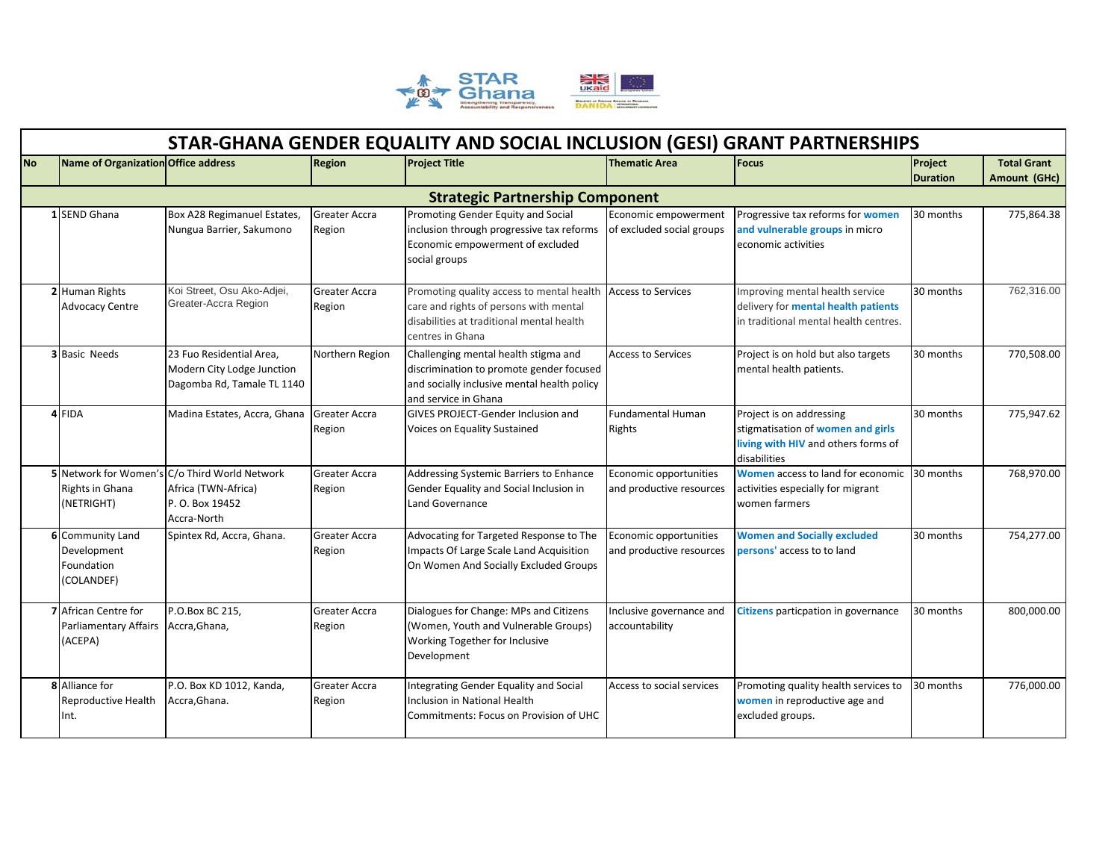

|           |                                     |                                               |                      | STAR-GHANA GENDER EQUALITY AND SOCIAL INCLUSION (GESI) GRANT PARTNERSHIPS |                           |                                            |                            |                                    |
|-----------|-------------------------------------|-----------------------------------------------|----------------------|---------------------------------------------------------------------------|---------------------------|--------------------------------------------|----------------------------|------------------------------------|
| <b>No</b> | Name of Organization Office address |                                               | <b>Region</b>        | <b>Project Title</b>                                                      | <b>Thematic Area</b>      | <b>Focus</b>                               | Project<br><b>Duration</b> | <b>Total Grant</b><br>Amount (GHc) |
|           |                                     |                                               |                      | <b>Strategic Partnership Component</b>                                    |                           |                                            |                            |                                    |
|           |                                     |                                               |                      |                                                                           |                           |                                            |                            |                                    |
|           | 1 SEND Ghana                        | Box A28 Regimanuel Estates,                   | <b>Greater Accra</b> | Promoting Gender Equity and Social                                        | Economic empowerment      | Progressive tax reforms for women          | 30 months                  | 775,864.38                         |
|           |                                     | Nungua Barrier, Sakumono                      | Region               | inclusion through progressive tax reforms                                 | of excluded social groups | and vulnerable groups in micro             |                            |                                    |
|           |                                     |                                               |                      | Economic empowerment of excluded<br>social groups                         |                           | economic activities                        |                            |                                    |
|           |                                     |                                               |                      |                                                                           |                           |                                            |                            |                                    |
|           | 2 Human Rights                      | Koi Street, Osu Ako-Adjei,                    | Greater Accra        | Promoting quality access to mental health                                 | <b>Access to Services</b> | Improving mental health service            | 30 months                  | 762,316.00                         |
|           | <b>Advocacy Centre</b>              | Greater-Accra Region                          | Region               | care and rights of persons with mental                                    |                           | delivery for mental health patients        |                            |                                    |
|           |                                     |                                               |                      | disabilities at traditional mental health                                 |                           | in traditional mental health centres.      |                            |                                    |
|           |                                     |                                               |                      | centres in Ghana                                                          |                           |                                            |                            |                                    |
|           | <b>3</b> Basic Needs                | 23 Fuo Residential Area,                      | Northern Region      | Challenging mental health stigma and                                      | <b>Access to Services</b> | Project is on hold but also targets        | 30 months                  | 770,508.00                         |
|           |                                     | Modern City Lodge Junction                    |                      | discrimination to promote gender focused                                  |                           | mental health patients.                    |                            |                                    |
|           |                                     | Dagomba Rd, Tamale TL 1140                    |                      | and socially inclusive mental health policy                               |                           |                                            |                            |                                    |
|           |                                     |                                               |                      | and service in Ghana                                                      |                           |                                            |                            |                                    |
|           | 4 FIDA                              | Madina Estates, Accra, Ghana                  | <b>Greater Accra</b> | <b>GIVES PROJECT-Gender Inclusion and</b>                                 | Fundamental Human         | Project is on addressing                   | 30 months                  | 775,947.62                         |
|           |                                     |                                               | Region               | Voices on Equality Sustained                                              | Rights                    | stigmatisation of women and girls          |                            |                                    |
|           |                                     |                                               |                      |                                                                           |                           | living with HIV and others forms of        |                            |                                    |
|           |                                     |                                               |                      |                                                                           |                           | disabilities                               |                            |                                    |
|           |                                     | 5 Network for Women's C/o Third World Network | Greater Accra        | Addressing Systemic Barriers to Enhance                                   | Economic opportunities    | <b>Women access to land for economic</b>   | 30 months                  | 768,970.00                         |
|           | Rights in Ghana                     | Africa (TWN-Africa)                           | Region               | Gender Equality and Social Inclusion in                                   | and productive resources  | activities especially for migrant          |                            |                                    |
|           | (NETRIGHT)                          | P. O. Box 19452                               |                      | Land Governance                                                           |                           | women farmers                              |                            |                                    |
|           |                                     | Accra-North                                   |                      |                                                                           |                           |                                            |                            |                                    |
|           | 6 Community Land                    | Spintex Rd, Accra, Ghana.                     | <b>Greater Accra</b> | Advocating for Targeted Response to The                                   | Economic opportunities    | <b>Women and Socially excluded</b>         | 30 months                  | 754,277.00                         |
|           | Development                         |                                               | Region               | Impacts Of Large Scale Land Acquisition                                   | and productive resources  | persons' access to to land                 |                            |                                    |
|           | Foundation                          |                                               |                      | On Women And Socially Excluded Groups                                     |                           |                                            |                            |                                    |
|           | (COLANDEF)                          |                                               |                      |                                                                           |                           |                                            |                            |                                    |
|           | 7 African Centre for                | P.O.Box BC 215,                               | Greater Accra        | Dialogues for Change: MPs and Citizens                                    | Inclusive governance and  | <b>Citizens</b> particpation in governance | 30 months                  | 800,000.00                         |
|           | <b>Parliamentary Affairs</b>        | Accra, Ghana,                                 | Region               | (Women, Youth and Vulnerable Groups)                                      | accountability            |                                            |                            |                                    |
|           | (ACEPA)                             |                                               |                      | Working Together for Inclusive                                            |                           |                                            |                            |                                    |
|           |                                     |                                               |                      | Development                                                               |                           |                                            |                            |                                    |
|           | 8 Alliance for                      | P.O. Box KD 1012, Kanda,                      | Greater Accra        | Integrating Gender Equality and Social                                    | Access to social services | Promoting quality health services to       | 30 months                  | 776,000.00                         |
|           | Reproductive Health                 | Accra, Ghana.                                 | Region               | Inclusion in National Health                                              |                           | women in reproductive age and              |                            |                                    |
|           | Int.                                |                                               |                      | Commitments: Focus on Provision of UHC                                    |                           | excluded groups.                           |                            |                                    |
|           |                                     |                                               |                      |                                                                           |                           |                                            |                            |                                    |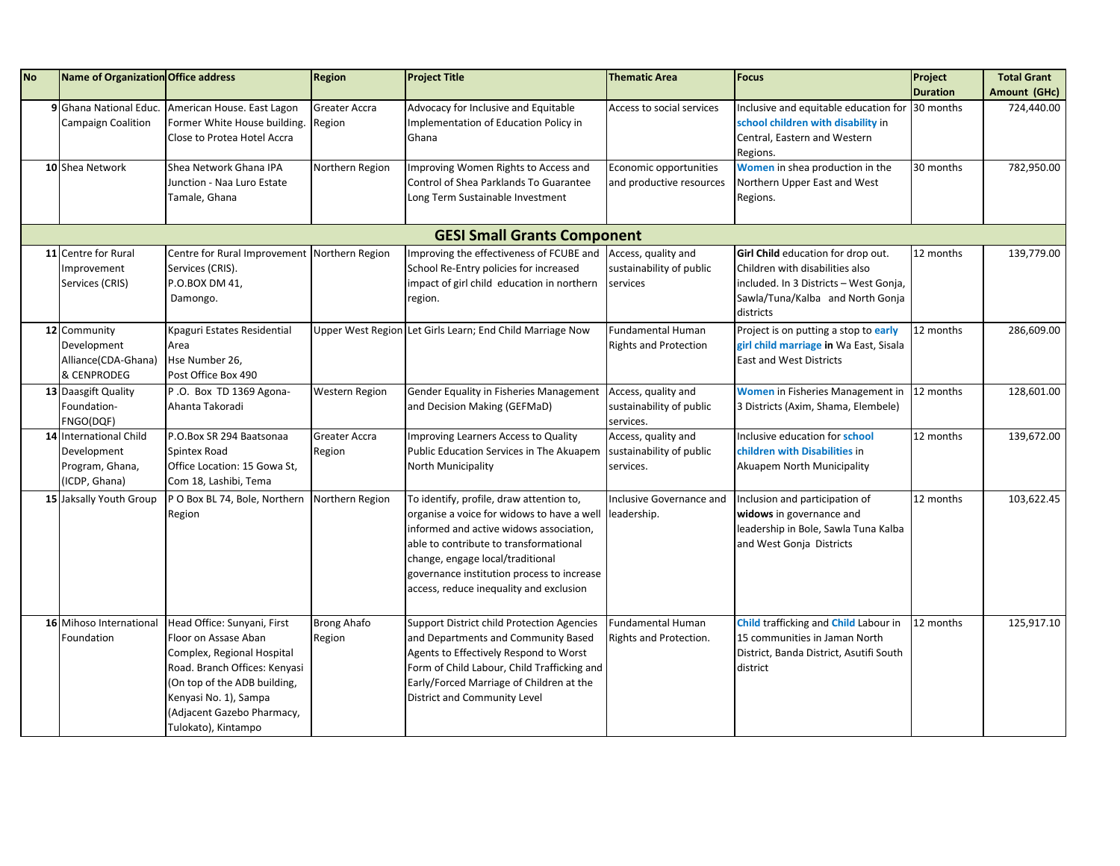| <b>No</b> | Name of Organization Office address |                                              | Region             | <b>Project Title</b>                                      | <b>Thematic Area</b>         | <b>Focus</b>                                    | Project         | <b>Total Grant</b> |  |  |
|-----------|-------------------------------------|----------------------------------------------|--------------------|-----------------------------------------------------------|------------------------------|-------------------------------------------------|-----------------|--------------------|--|--|
|           |                                     |                                              |                    |                                                           |                              |                                                 | <b>Duration</b> | Amount (GHc)       |  |  |
|           | 9 Ghana National Educ.              | American House. East Lagon                   | Greater Accra      | Advocacy for Inclusive and Equitable                      | Access to social services    | Inclusive and equitable education for 30 months |                 | 724,440.00         |  |  |
|           | <b>Campaign Coalition</b>           | Former White House building.                 | Region             | Implementation of Education Policy in                     |                              | school children with disability in              |                 |                    |  |  |
|           |                                     | Close to Protea Hotel Accra                  |                    | Ghana                                                     |                              | Central, Eastern and Western                    |                 |                    |  |  |
|           |                                     |                                              |                    |                                                           |                              | Regions.                                        |                 |                    |  |  |
|           | 10 Shea Network                     | Shea Network Ghana IPA                       | Northern Region    | Improving Women Rights to Access and                      | Economic opportunities       | Women in shea production in the                 | 30 months       | 782,950.00         |  |  |
|           |                                     | Junction - Naa Luro Estate                   |                    | Control of Shea Parklands To Guarantee                    | and productive resources     | Northern Upper East and West                    |                 |                    |  |  |
|           |                                     | Tamale, Ghana                                |                    | Long Term Sustainable Investment                          |                              | Regions.                                        |                 |                    |  |  |
|           |                                     |                                              |                    |                                                           |                              |                                                 |                 |                    |  |  |
|           | <b>GESI Small Grants Component</b>  |                                              |                    |                                                           |                              |                                                 |                 |                    |  |  |
|           | 11 Centre for Rural                 | Centre for Rural Improvement Northern Region |                    | Improving the effectiveness of FCUBE and                  | Access, quality and          | Girl Child education for drop out.              | 12 months       | 139,779.00         |  |  |
|           | Improvement                         | Services (CRIS).                             |                    | School Re-Entry policies for increased                    | sustainability of public     | Children with disabilities also                 |                 |                    |  |  |
|           | Services (CRIS)                     | P.O.BOX DM 41,                               |                    | impact of girl child education in northern                | services                     | included. In 3 Districts - West Gonja,          |                 |                    |  |  |
|           |                                     | Damongo.                                     |                    | region.                                                   |                              | Sawla/Tuna/Kalba and North Gonja                |                 |                    |  |  |
|           |                                     |                                              |                    |                                                           |                              | districts                                       |                 |                    |  |  |
|           | 12 Community                        | Kpaguri Estates Residential                  |                    | Upper West Region Let Girls Learn; End Child Marriage Now | <b>Fundamental Human</b>     | Project is on putting a stop to early           | 12 months       | 286,609.00         |  |  |
|           | Development                         | Area                                         |                    |                                                           | <b>Rights and Protection</b> | girl child marriage in Wa East, Sisala          |                 |                    |  |  |
|           | Alliance(CDA-Ghana)                 | Hse Number 26,                               |                    |                                                           |                              | <b>East and West Districts</b>                  |                 |                    |  |  |
|           | & CENPRODEG                         | Post Office Box 490                          |                    |                                                           |                              |                                                 |                 |                    |  |  |
|           | 13 Daasgift Quality                 | P.O. Box TD 1369 Agona-                      | Western Region     | Gender Equality in Fisheries Management                   | Access, quality and          | Women in Fisheries Management in                | 12 months       | 128,601.00         |  |  |
|           | Foundation-                         | Ahanta Takoradi                              |                    | and Decision Making (GEFMaD)                              | sustainability of public     | 3 Districts (Axim, Shama, Elembele)             |                 |                    |  |  |
|           | FNGO(DQF)                           |                                              |                    |                                                           | services.                    |                                                 |                 |                    |  |  |
|           | 14 International Child              | P.O.Box SR 294 Baatsonaa                     | Greater Accra      | Improving Learners Access to Quality                      | Access, quality and          | Inclusive education for school                  | 12 months       | 139,672.00         |  |  |
|           | Development                         | Spintex Road                                 | Region             | Public Education Services in The Akuapem                  | sustainability of public     | children with Disabilities in                   |                 |                    |  |  |
|           | Program, Ghana,                     | Office Location: 15 Gowa St,                 |                    | North Municipality                                        | services.                    | Akuapem North Municipality                      |                 |                    |  |  |
|           | (ICDP, Ghana)                       | Com 18, Lashibi, Tema                        |                    |                                                           |                              |                                                 |                 |                    |  |  |
|           | 15 Jaksally Youth Group             | P O Box BL 74, Bole, Northern                | Northern Region    | To identify, profile, draw attention to,                  | Inclusive Governance and     | Inclusion and participation of                  | 12 months       | 103,622.45         |  |  |
|           |                                     | Region                                       |                    | organise a voice for widows to have a well                | leadership.                  | widows in governance and                        |                 |                    |  |  |
|           |                                     |                                              |                    | informed and active widows association,                   |                              | leadership in Bole, Sawla Tuna Kalba            |                 |                    |  |  |
|           |                                     |                                              |                    | able to contribute to transformational                    |                              | and West Gonja Districts                        |                 |                    |  |  |
|           |                                     |                                              |                    | change, engage local/traditional                          |                              |                                                 |                 |                    |  |  |
|           |                                     |                                              |                    | governance institution process to increase                |                              |                                                 |                 |                    |  |  |
|           |                                     |                                              |                    | access, reduce inequality and exclusion                   |                              |                                                 |                 |                    |  |  |
|           |                                     |                                              |                    |                                                           |                              |                                                 |                 |                    |  |  |
|           | 16 Mihoso International             | Head Office: Sunyani, First                  | <b>Brong Ahafo</b> | Support District child Protection Agencies                | <b>Fundamental Human</b>     | Child trafficking and Child Labour in           | 12 months       | 125,917.10         |  |  |
|           | Foundation                          | Floor on Assase Aban                         | Region             | and Departments and Community Based                       | Rights and Protection.       | 15 communities in Jaman North                   |                 |                    |  |  |
|           |                                     | Complex, Regional Hospital                   |                    | Agents to Effectively Respond to Worst                    |                              | District, Banda District, Asutifi South         |                 |                    |  |  |
|           |                                     | Road. Branch Offices: Kenyasi                |                    | Form of Child Labour, Child Trafficking and               |                              | district                                        |                 |                    |  |  |
|           |                                     | (On top of the ADB building,                 |                    | Early/Forced Marriage of Children at the                  |                              |                                                 |                 |                    |  |  |
|           |                                     | Kenyasi No. 1), Sampa                        |                    | District and Community Level                              |                              |                                                 |                 |                    |  |  |
|           |                                     | (Adjacent Gazebo Pharmacy,                   |                    |                                                           |                              |                                                 |                 |                    |  |  |
|           |                                     | Tulokato), Kintampo                          |                    |                                                           |                              |                                                 |                 |                    |  |  |